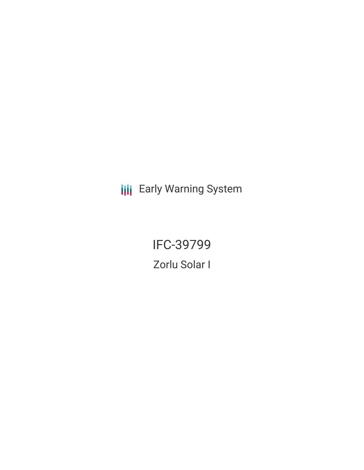**III** Early Warning System

IFC-39799 Zorlu Solar I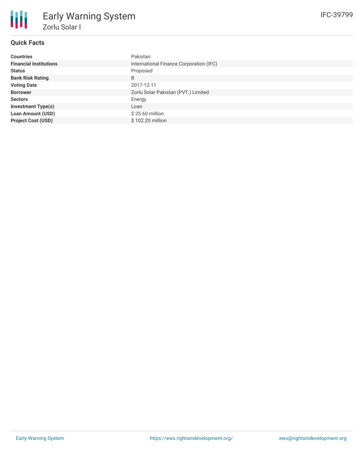

## **Quick Facts**

| <b>Countries</b>              | Pakistan                                |
|-------------------------------|-----------------------------------------|
| <b>Financial Institutions</b> | International Finance Corporation (IFC) |
| <b>Status</b>                 | Proposed                                |
| <b>Bank Risk Rating</b>       | B                                       |
| <b>Voting Date</b>            | 2017-12-11                              |
| <b>Borrower</b>               | Zorlu Solar Pakistan (PVT.) Limited     |
| <b>Sectors</b>                | Energy                                  |
| <b>Investment Type(s)</b>     | Loan                                    |
| <b>Loan Amount (USD)</b>      | $$25.60$ million                        |
| <b>Project Cost (USD)</b>     | \$102.20 million                        |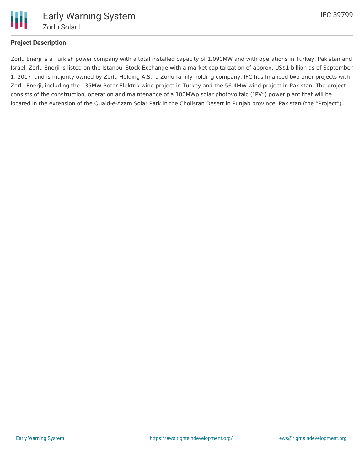

# **Project Description**

Zorlu Enerji is a Turkish power company with a total installed capacity of 1,090MW and with operations in Turkey, Pakistan and Israel. Zorlu Enerji is listed on the Istanbul Stock Exchange with a market capitalization of approx. US\$1 billion as of September 1, 2017, and is majority owned by Zorlu Holding A.S., a Zorlu family holding company. IFC has financed two prior projects with Zorlu Enerji, including the 135MW Rotor Elektrik wind project in Turkey and the 56.4MW wind project in Pakistan. The project consists of the construction, operation and maintenance of a 100MWp solar photovoltaic ("PV") power plant that will be located in the extension of the Quaid-e-Azam Solar Park in the Cholistan Desert in Punjab province, Pakistan (the "Project").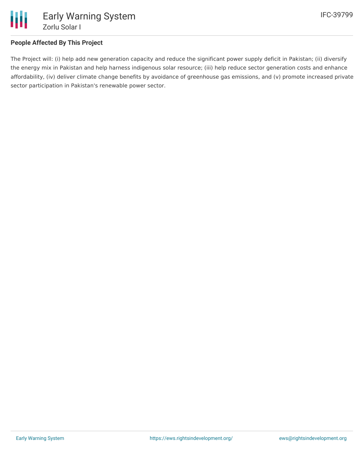

### **People Affected By This Project**

The Project will: (i) help add new generation capacity and reduce the significant power supply deficit in Pakistan; (ii) diversify the energy mix in Pakistan and help harness indigenous solar resource; (iii) help reduce sector generation costs and enhance affordability, (iv) deliver climate change benefits by avoidance of greenhouse gas emissions, and (v) promote increased private sector participation in Pakistan's renewable power sector.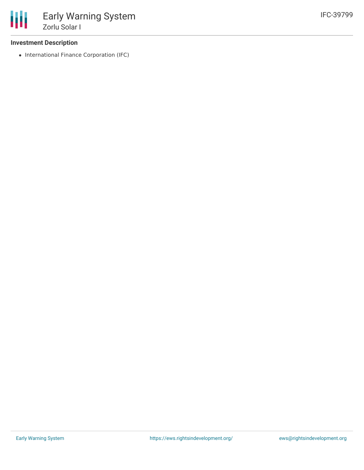#### **Investment Description**

• International Finance Corporation (IFC)